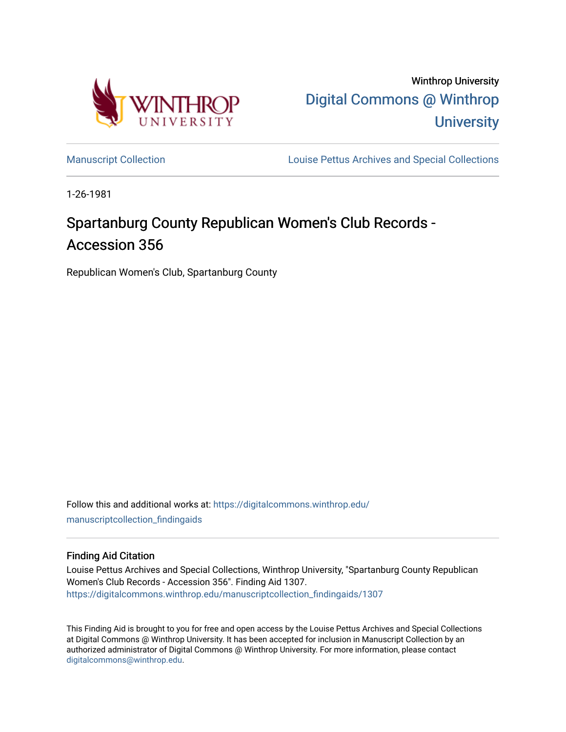

Winthrop University [Digital Commons @ Winthrop](https://digitalcommons.winthrop.edu/)  **University** 

[Manuscript Collection](https://digitalcommons.winthrop.edu/manuscriptcollection_findingaids) **Louise Pettus Archives and Special Collections** 

1-26-1981

# Spartanburg County Republican Women's Club Records -Accession 356

Republican Women's Club, Spartanburg County

Follow this and additional works at: [https://digitalcommons.winthrop.edu/](https://digitalcommons.winthrop.edu/manuscriptcollection_findingaids?utm_source=digitalcommons.winthrop.edu%2Fmanuscriptcollection_findingaids%2F1307&utm_medium=PDF&utm_campaign=PDFCoverPages) [manuscriptcollection\\_findingaids](https://digitalcommons.winthrop.edu/manuscriptcollection_findingaids?utm_source=digitalcommons.winthrop.edu%2Fmanuscriptcollection_findingaids%2F1307&utm_medium=PDF&utm_campaign=PDFCoverPages) 

#### Finding Aid Citation

Louise Pettus Archives and Special Collections, Winthrop University, "Spartanburg County Republican Women's Club Records - Accession 356". Finding Aid 1307. [https://digitalcommons.winthrop.edu/manuscriptcollection\\_findingaids/1307](https://digitalcommons.winthrop.edu/manuscriptcollection_findingaids/1307?utm_source=digitalcommons.winthrop.edu%2Fmanuscriptcollection_findingaids%2F1307&utm_medium=PDF&utm_campaign=PDFCoverPages) 

This Finding Aid is brought to you for free and open access by the Louise Pettus Archives and Special Collections at Digital Commons @ Winthrop University. It has been accepted for inclusion in Manuscript Collection by an authorized administrator of Digital Commons @ Winthrop University. For more information, please contact [digitalcommons@winthrop.edu](mailto:digitalcommons@winthrop.edu).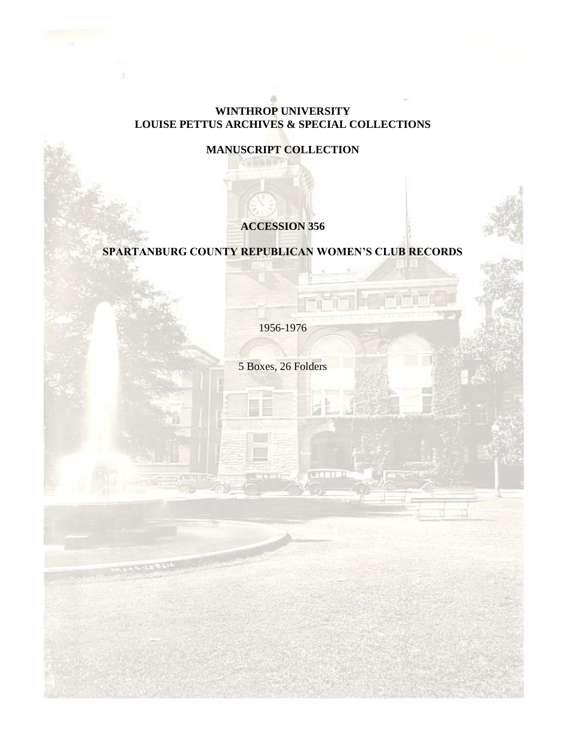### **WINTHROP UNIVERSITY LOUISE PETTUS ARCHIVES & SPECIAL COLLECTIONS**

# **MANUSCRIPT COLLECTION**

# **ACCESSION 356**

# **SPARTANBURG COUNTY REPUBLICAN WOMEN'S CLUB RECORDS**

1956-1976

5 Boxes, 26 Folders

**CATHER**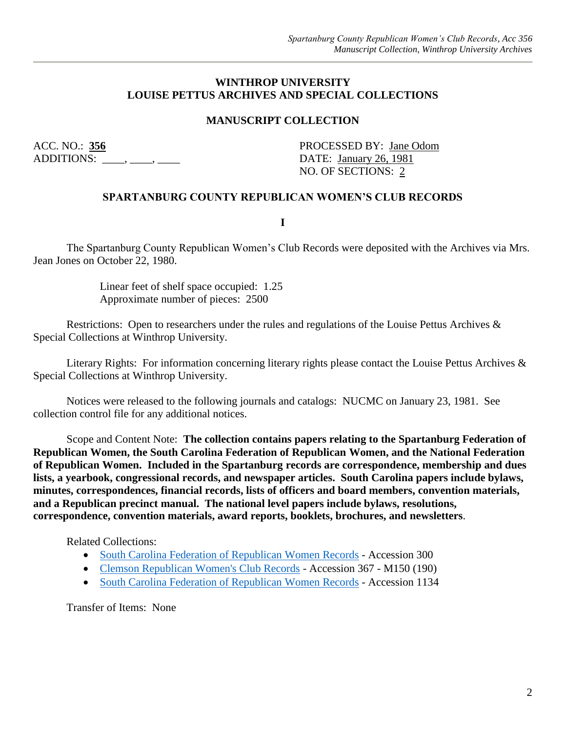#### **WINTHROP UNIVERSITY LOUISE PETTUS ARCHIVES AND SPECIAL COLLECTIONS**

### **MANUSCRIPT COLLECTION**

ADDITIONS: \_\_\_\_, \_\_\_\_, \_\_\_\_\_, \_\_\_\_\_\_ DATE: January 26, 1981

ACC. NO.: 356 PROCESSED BY: Jane Odom NO. OF SECTIONS: 2

#### **SPARTANBURG COUNTY REPUBLICAN WOMEN'S CLUB RECORDS**

**I**

The Spartanburg County Republican Women's Club Records were deposited with the Archives via Mrs. Jean Jones on October 22, 1980.

> Linear feet of shelf space occupied: 1.25 Approximate number of pieces: 2500

Restrictions: Open to researchers under the rules and regulations of the Louise Pettus Archives & Special Collections at Winthrop University.

Literary Rights: For information concerning literary rights please contact the Louise Pettus Archives & Special Collections at Winthrop University.

Notices were released to the following journals and catalogs: NUCMC on January 23, 1981. See collection control file for any additional notices.

Scope and Content Note: **The collection contains papers relating to the Spartanburg Federation of Republican Women, the South Carolina Federation of Republican Women, and the National Federation of Republican Women. Included in the Spartanburg records are correspondence, membership and dues lists, a yearbook, congressional records, and newspaper articles. South Carolina papers include bylaws, minutes, correspondences, financial records, lists of officers and board members, convention materials, and a Republican precinct manual. The national level papers include bylaws, resolutions, correspondence, convention materials, award reports, booklets, brochures, and newsletters**.

Related Collections:

- [South Carolina Federation of Republican Women Records](https://digitalcommons.winthrop.edu/manuscriptcollection_findingaids/339/) Accession 300
- [Clemson Republican Women's Club Records](https://digitalcommons.winthrop.edu/manuscriptcollection_findingaids/377/) Accession 367 M150 (190)
- [South Carolina Federation of Republican Women Records](https://digitalcommons.winthrop.edu/manuscriptcollection_findingaids/1116/) Accession 1134

Transfer of Items: None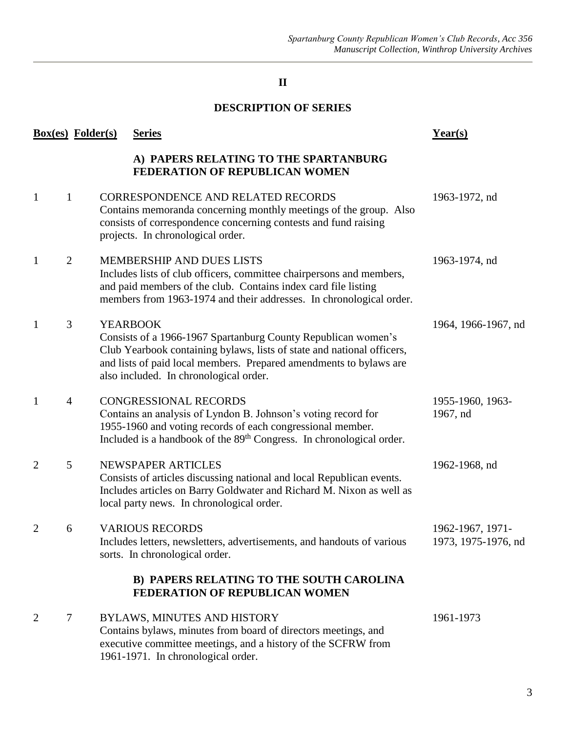# **II**

### **DESCRIPTION OF SERIES**

| <b>Box(es)</b> Folder(s) |                | <b>Series</b>                                                                                                                                                                                                                                                              | Year(s)                                 |
|--------------------------|----------------|----------------------------------------------------------------------------------------------------------------------------------------------------------------------------------------------------------------------------------------------------------------------------|-----------------------------------------|
|                          |                | A) PAPERS RELATING TO THE SPARTANBURG<br>FEDERATION OF REPUBLICAN WOMEN                                                                                                                                                                                                    |                                         |
| $\mathbf{1}$             | 1              | CORRESPONDENCE AND RELATED RECORDS<br>Contains memoranda concerning monthly meetings of the group. Also<br>consists of correspondence concerning contests and fund raising<br>projects. In chronological order.                                                            | 1963-1972, nd                           |
| 1                        | $\overline{2}$ | MEMBERSHIP AND DUES LISTS<br>Includes lists of club officers, committee chairpersons and members,<br>and paid members of the club. Contains index card file listing<br>members from 1963-1974 and their addresses. In chronological order.                                 | 1963-1974, nd                           |
| -1                       | 3              | <b>YEARBOOK</b><br>Consists of a 1966-1967 Spartanburg County Republican women's<br>Club Yearbook containing bylaws, lists of state and national officers,<br>and lists of paid local members. Prepared amendments to bylaws are<br>also included. In chronological order. | 1964, 1966-1967, nd                     |
| -1                       | $\overline{4}$ | <b>CONGRESSIONAL RECORDS</b><br>Contains an analysis of Lyndon B. Johnson's voting record for<br>1955-1960 and voting records of each congressional member.<br>Included is a handbook of the 89 <sup>th</sup> Congress. In chronological order.                            | 1955-1960, 1963-<br>1967, nd            |
| $\overline{2}$           | 5              | NEWSPAPER ARTICLES<br>Consists of articles discussing national and local Republican events.<br>Includes articles on Barry Goldwater and Richard M. Nixon as well as<br>local party news. In chronological order.                                                           | 1962-1968, nd                           |
| $\overline{2}$           | 6              | <b>VARIOUS RECORDS</b><br>Includes letters, newsletters, advertisements, and handouts of various<br>sorts. In chronological order.                                                                                                                                         | 1962-1967, 1971-<br>1973, 1975-1976, nd |
|                          |                | B) PAPERS RELATING TO THE SOUTH CAROLINA<br>FEDERATION OF REPUBLICAN WOMEN                                                                                                                                                                                                 |                                         |
| 2                        | 7              | <b>BYLAWS, MINUTES AND HISTORY</b><br>Contains bylaws, minutes from board of directors meetings, and<br>executive committee meetings, and a history of the SCFRW from<br>1961-1971. In chronological order.                                                                | 1961-1973                               |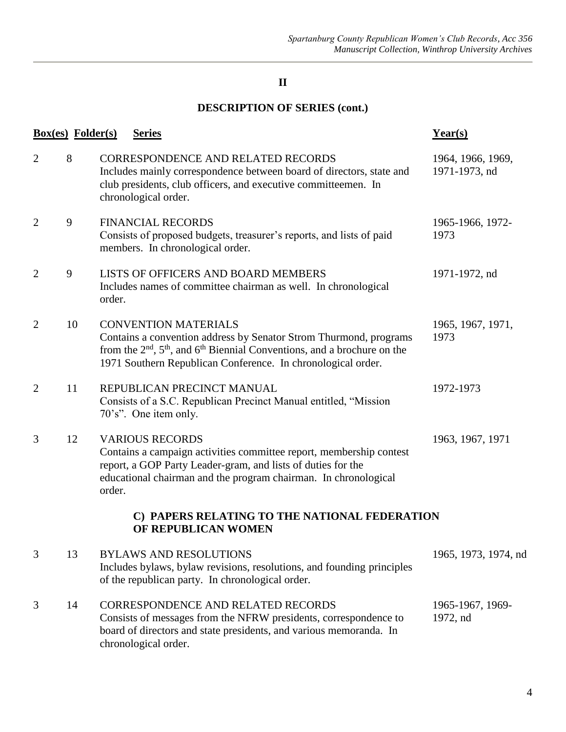# **II**

# **DESCRIPTION OF SERIES (cont.)**

|                | <b>Box(es)</b> Folder(s) | <b>Series</b>                                                                                                                                                                                                                                      | Year(s)                            |
|----------------|--------------------------|----------------------------------------------------------------------------------------------------------------------------------------------------------------------------------------------------------------------------------------------------|------------------------------------|
| $\overline{2}$ | 8                        | <b>CORRESPONDENCE AND RELATED RECORDS</b><br>Includes mainly correspondence between board of directors, state and<br>club presidents, club officers, and executive committeemen. In<br>chronological order.                                        | 1964, 1966, 1969,<br>1971-1973, nd |
| $\overline{2}$ | 9                        | <b>FINANCIAL RECORDS</b><br>Consists of proposed budgets, treasurer's reports, and lists of paid<br>members. In chronological order.                                                                                                               | 1965-1966, 1972-<br>1973           |
| $\overline{2}$ | 9                        | LISTS OF OFFICERS AND BOARD MEMBERS<br>Includes names of committee chairman as well. In chronological<br>order.                                                                                                                                    | 1971-1972, nd                      |
| $\overline{2}$ | 10                       | <b>CONVENTION MATERIALS</b><br>Contains a convention address by Senator Strom Thurmond, programs<br>from the $2nd$ , $5th$ , and $6th$ Biennial Conventions, and a brochure on the<br>1971 Southern Republican Conference. In chronological order. | 1965, 1967, 1971,<br>1973          |
| $\overline{2}$ | 11                       | REPUBLICAN PRECINCT MANUAL<br>Consists of a S.C. Republican Precinct Manual entitled, "Mission<br>70's". One item only.                                                                                                                            | 1972-1973                          |
| 3              | 12                       | <b>VARIOUS RECORDS</b><br>Contains a campaign activities committee report, membership contest<br>report, a GOP Party Leader-gram, and lists of duties for the<br>educational chairman and the program chairman. In chronological<br>order.         | 1963, 1967, 1971                   |
|                |                          | C) PAPERS RELATING TO THE NATIONAL FEDERATION<br>OF REPUBLICAN WOMEN                                                                                                                                                                               |                                    |
| 3              | 13                       | <b>BYLAWS AND RESOLUTIONS</b><br>Includes bylaws, bylaw revisions, resolutions, and founding principles<br>of the republican party. In chronological order.                                                                                        | 1965, 1973, 1974, nd               |
| 3              | 14                       | CORRESPONDENCE AND RELATED RECORDS<br>Consists of messages from the NFRW presidents, correspondence to<br>board of directors and state presidents, and various memoranda. In<br>chronological order.                                               | 1965-1967, 1969-<br>1972, nd       |